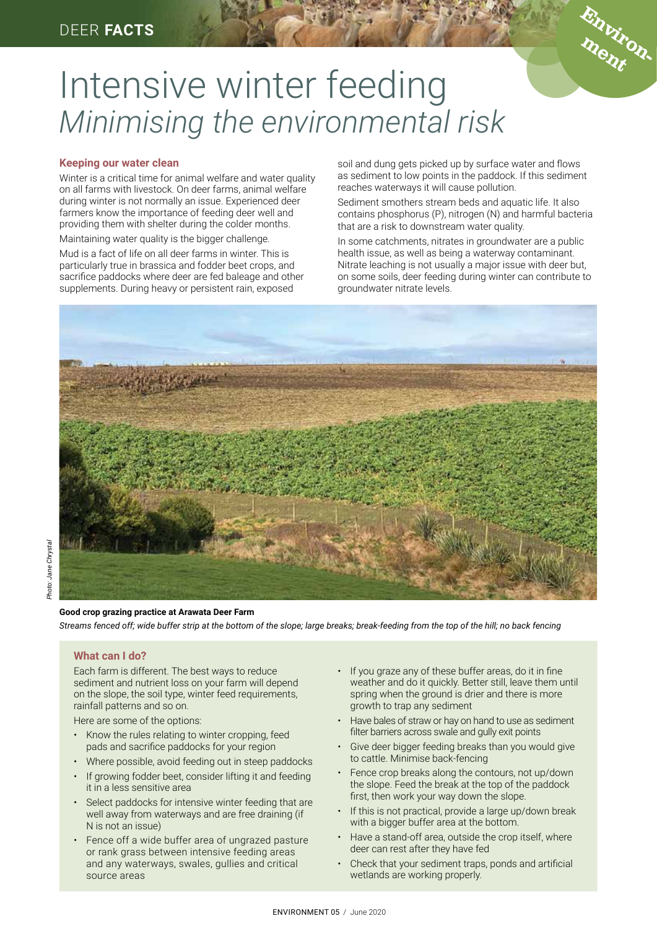

# Intensive winter feeding *Minimising the environmental risk*

# **Keeping our water clean**

Winter is a critical time for animal welfare and water quality on all farms with livestock. On deer farms, animal welfare during winter is not normally an issue. Experienced deer farmers know the importance of feeding deer well and providing them with shelter during the colder months.

Maintaining water quality is the bigger challenge.

Mud is a fact of life on all deer farms in winter. This is particularly true in brassica and fodder beet crops, and sacrifice paddocks where deer are fed baleage and other supplements. During heavy or persistent rain, exposed

soil and dung gets picked up by surface water and flows as sediment to low points in the paddock. If this sediment reaches waterways it will cause pollution.

Sediment smothers stream beds and aquatic life. It also contains phosphorus (P), nitrogen (N) and harmful bacteria that are a risk to downstream water quality.

In some catchments, nitrates in groundwater are a public health issue, as well as being a waterway contaminant. Nitrate leaching is not usually a major issue with deer but, on some soils, deer feeding during winter can contribute to groundwater nitrate levels.



## **Good crop grazing practice at Arawata Deer Farm**

*Streams fenced off; wide buffer strip at the bottom of the slope; large breaks; break-feeding from the top of the hill; no back fencing*

# **What can I do?**

Each farm is different. The best ways to reduce sediment and nutrient loss on your farm will depend on the slope, the soil type, winter feed requirements, rainfall patterns and so on.

Here are some of the options:

- Know the rules relating to winter cropping, feed pads and sacrifice paddocks for your region
- Where possible, avoid feeding out in steep paddocks
- If growing fodder beet, consider lifting it and feeding it in a less sensitive area
- Select paddocks for intensive winter feeding that are well away from waterways and are free draining (if N is not an issue)
- Fence off a wide buffer area of ungrazed pasture or rank grass between intensive feeding areas and any waterways, swales, gullies and critical source areas
- If you graze any of these buffer areas, do it in fine weather and do it quickly. Better still, leave them until spring when the ground is drier and there is more growth to trap any sediment
- Have bales of straw or hay on hand to use as sediment filter barriers across swale and gully exit points
- Give deer bigger feeding breaks than you would give to cattle. Minimise back-fencing
- Fence crop breaks along the contours, not up/down the slope. Feed the break at the top of the paddock first, then work your way down the slope.
- If this is not practical, provide a large up/down break with a bigger buffer area at the bottom.
- Have a stand-off area, outside the crop itself, where deer can rest after they have fed
- Check that your sediment traps, ponds and artificial wetlands are working properly.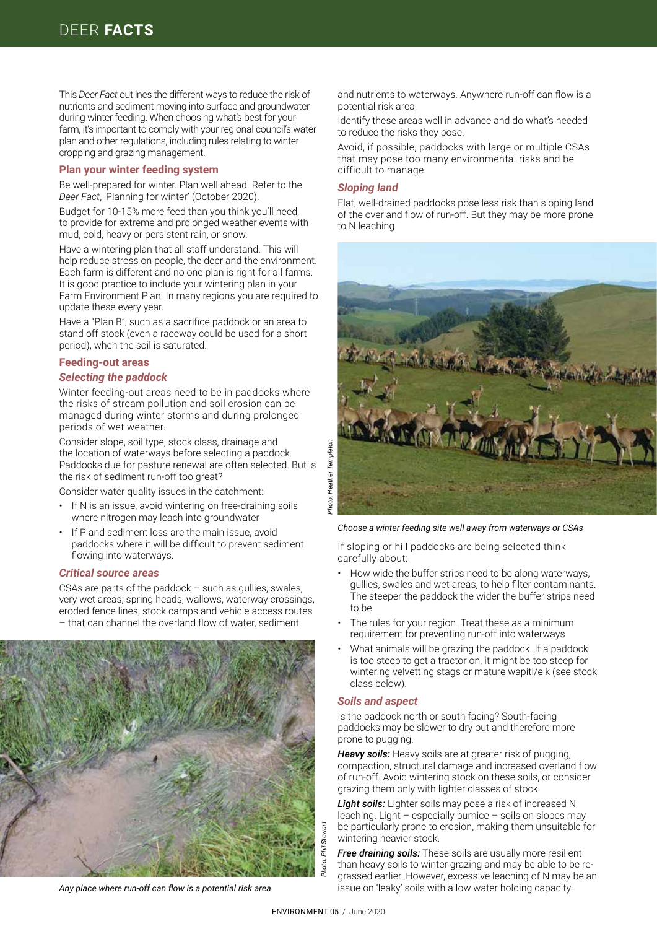This *Deer Fact* outlines the different ways to reduce the risk of nutrients and sediment moving into surface and groundwater during winter feeding. When choosing what's best for your farm, it's important to comply with your regional council's water plan and other regulations, including rules relating to winter cropping and grazing management.

## **Plan your winter feeding system**

Be well-prepared for winter. Plan well ahead. Refer to the *Deer Fact*, 'Planning for winter' (October 2020).

Budget for 10-15% more feed than you think you'll need, to provide for extreme and prolonged weather events with mud, cold, heavy or persistent rain, or snow.

Have a wintering plan that all staff understand. This will help reduce stress on people, the deer and the environment. Each farm is different and no one plan is right for all farms. It is good practice to include your wintering plan in your Farm Environment Plan. In many regions you are required to update these every year.

Have a "Plan B", such as a sacrifice paddock or an area to stand off stock (even a raceway could be used for a short period), when the soil is saturated.

## **Feeding-out areas**

## *Selecting the paddock*

Winter feeding-out areas need to be in paddocks where the risks of stream pollution and soil erosion can be managed during winter storms and during prolonged periods of wet weather.

Consider slope, soil type, stock class, drainage and the location of waterways before selecting a paddock. Paddocks due for pasture renewal are often selected. But is the risk of sediment run-off too great?

Consider water quality issues in the catchment:

- If N is an issue, avoid wintering on free-draining soils where nitrogen may leach into groundwater
- If P and sediment loss are the main issue, avoid paddocks where it will be difficult to prevent sediment flowing into waterways.

## *Critical source areas*

CSAs are parts of the paddock – such as gullies, swales, very wet areas, spring heads, wallows, waterway crossings, eroded fence lines, stock camps and vehicle access routes – that can channel the overland flow of water, sediment



*Any place where run-off can flow is a potential risk area*

and nutrients to waterways. Anywhere run-off can flow is a potential risk area.

Identify these areas well in advance and do what's needed to reduce the risks they pose.

Avoid, if possible, paddocks with large or multiple CSAs that may pose too many environmental risks and be difficult to manage.

#### *Sloping land*

Flat, well-drained paddocks pose less risk than sloping land of the overland flow of run-off. But they may be more prone to N leaching.



*Choose a winter feeding site well away from waterways or CSAs* 

If sloping or hill paddocks are being selected think carefully about:

- How wide the buffer strips need to be along waterways, gullies, swales and wet areas, to help filter contaminants. The steeper the paddock the wider the buffer strips need to be
- The rules for your region. Treat these as a minimum requirement for preventing run-off into waterways
- What animals will be grazing the paddock. If a paddock is too steep to get a tractor on, it might be too steep for wintering velvetting stags or mature wapiti/elk (see stock class below).

### *Soils and aspect*

Is the paddock north or south facing? South-facing paddocks may be slower to dry out and therefore more prone to pugging.

*Heavy soils:* Heavy soils are at greater risk of pugging, compaction, structural damage and increased overland flow of run-off. Avoid wintering stock on these soils, or consider grazing them only with lighter classes of stock.

*Light soils:* Lighter soils may pose a risk of increased N leaching. Light – especially pumice – soils on slopes may be particularly prone to erosion, making them unsuitable for wintering heavier stock.

*Free draining soils:* These soils are usually more resilient than heavy soils to winter grazing and may be able to be regrassed earlier. However, excessive leaching of N may be an issue on 'leaky' soils with a low water holding capacity.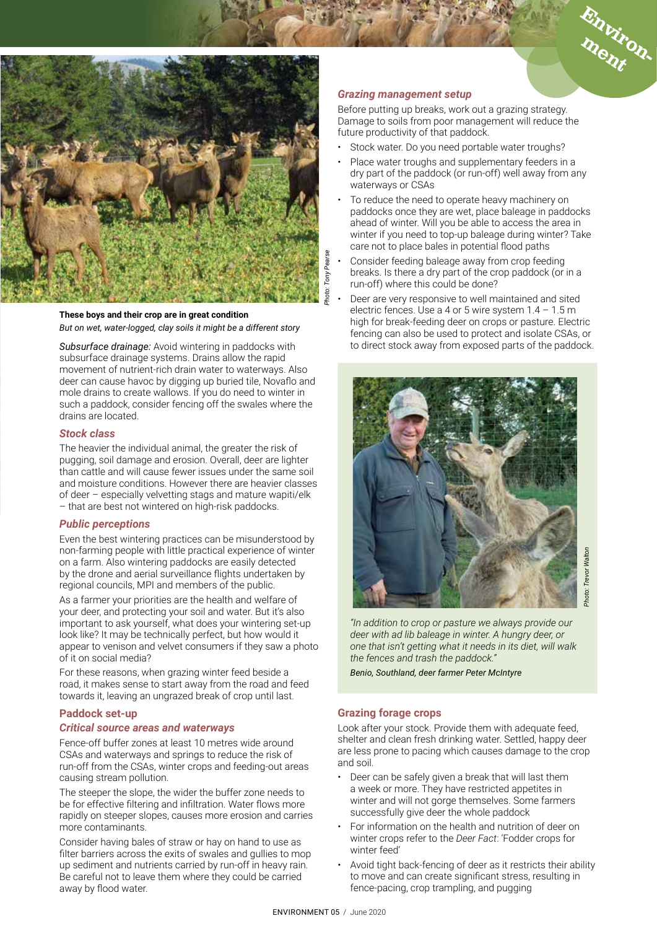



## **These boys and their crop are in great condition**  *But on wet, water-logged, clay soils it might be a different story*

*Subsurface drainage:* Avoid wintering in paddocks with subsurface drainage systems. Drains allow the rapid movement of nutrient-rich drain water to waterways. Also deer can cause havoc by digging up buried tile, Novaflo and mole drains to create wallows. If you do need to winter in such a paddock, consider fencing off the swales where the drains are located.

# *Stock class*

The heavier the individual animal, the greater the risk of pugging, soil damage and erosion. Overall, deer are lighter than cattle and will cause fewer issues under the same soil and moisture conditions. However there are heavier classes of deer – especially velvetting stags and mature wapiti/elk – that are best not wintered on high-risk paddocks.

## *Public perceptions*

Even the best wintering practices can be misunderstood by non-farming people with little practical experience of winter on a farm. Also wintering paddocks are easily detected by the drone and aerial surveillance flights undertaken by regional councils, MPI and members of the public.

As a farmer your priorities are the health and welfare of your deer, and protecting your soil and water. But it's also important to ask yourself, what does your wintering set-up look like? It may be technically perfect, but how would it appear to venison and velvet consumers if they saw a photo of it on social media?

For these reasons, when grazing winter feed beside a road, it makes sense to start away from the road and feed towards it, leaving an ungrazed break of crop until last.

# **Paddock set-up**

## *Critical source areas and waterways*

Fence-off buffer zones at least 10 metres wide around CSAs and waterways and springs to reduce the risk of run-off from the CSAs, winter crops and feeding-out areas causing stream pollution.

The steeper the slope, the wider the buffer zone needs to be for effective filtering and infiltration. Water flows more rapidly on steeper slopes, causes more erosion and carries more contaminants.

Consider having bales of straw or hay on hand to use as filter barriers across the exits of swales and gullies to mop up sediment and nutrients carried by run-off in heavy rain. Be careful not to leave them where they could be carried away by flood water.

## *Grazing management setup*

Before putting up breaks, work out a grazing strategy. Damage to soils from poor management will reduce the future productivity of that paddock.

- Stock water. Do you need portable water troughs?
- Place water troughs and supplementary feeders in a dry part of the paddock (or run-off) well away from any waterways or CSAs
- To reduce the need to operate heavy machinery on paddocks once they are wet, place baleage in paddocks ahead of winter. Will you be able to access the area in winter if you need to top-up baleage during winter? Take care not to place bales in potential flood paths
- Consider feeding baleage away from crop feeding breaks. Is there a dry part of the crop paddock (or in a run-off) where this could be done?
- Deer are very responsive to well maintained and sited electric fences. Use a 4 or 5 wire system  $1.4 - 1.5$  m high for break-feeding deer on crops or pasture. Electric fencing can also be used to protect and isolate CSAs, or to direct stock away from exposed parts of the paddock.



*"In addition to crop or pasture we always provide our deer with ad lib baleage in winter. A hungry deer, or one that isn't getting what it needs in its diet, will walk the fences and trash the paddock."*

*Benio, Southland, deer farmer Peter McIntyre*

## **Grazing forage crops**

Look after your stock. Provide them with adequate feed, shelter and clean fresh drinking water. Settled, happy deer are less prone to pacing which causes damage to the crop and soil.

- Deer can be safely given a break that will last them a week or more. They have restricted appetites in winter and will not gorge themselves. Some farmers successfully give deer the whole paddock
- For information on the health and nutrition of deer on winter crops refer to the *Deer Fact*: 'Fodder crops for winter feed'
- Avoid tight back-fencing of deer as it restricts their ability to move and can create significant stress, resulting in fence-pacing, crop trampling, and pugging